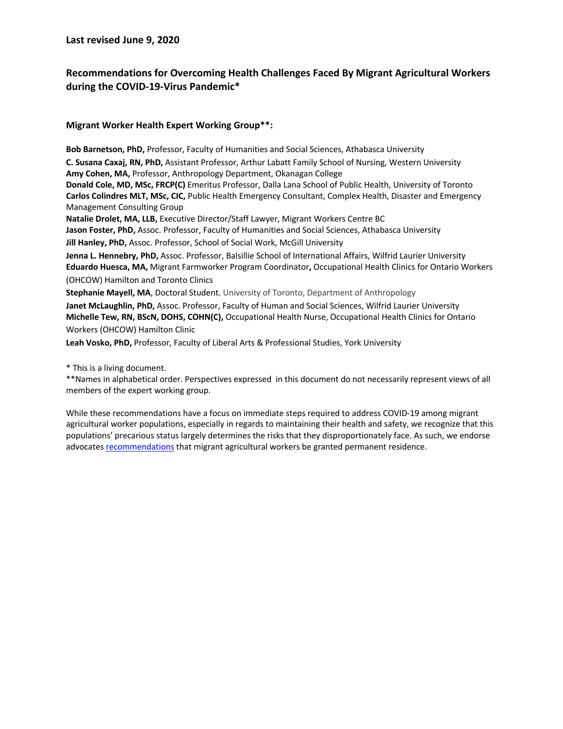**Last revised June 9, 2020**

## **Recommendations for Overcoming Health Challenges Faced By Migrant Agricultural Workers during the COVID-19-Virus Pandemic\***

#### **Migrant Worker Health Expert Working Group\*\*:**

**Bob Barnetson, PhD,** Professor, Faculty of Humanities and Social Sciences, Athabasca University **C. Susana Caxaj, RN, PhD,** Assistant Professor, Arthur Labatt Family School of Nursing, Western University **Amy Cohen, MA,** Professor, Anthropology Department, Okanagan College **Donald Cole, MD, MSc, FRCP(C)** Emeritus Professor, Dalla Lana School of Public Health, University of Toronto **Carlos Colindres MLT, MSc, CIC,** Public Health Emergency Consultant, Complex Health, Disaster and Emergency Management Consulting Group **Natalie Drolet, MA, LLB,** Executive Director/Staff Lawyer, Migrant Workers Centre BC **Jason Foster, PhD,** Assoc. Professor, Faculty of Humanities and Social Sciences, Athabasca University **Jill Hanley, PhD,** Assoc. Professor, School of Social Work, McGill University **Jenna L. Hennebry, PhD,** Assoc. Professor, Balsillie School of International Affairs, Wilfrid Laurier University **Eduardo Huesca, MA,** Migrant Farmworker Program Coordinator**,** Occupational Health Clinics for Ontario Workers (OHCOW) Hamilton and Toronto Clinics **Stephanie Mayell, MA**, Doctoral Student. University of Toronto, Department of Anthropology **Janet McLaughlin, PhD,** Assoc. Professor, Faculty of Human and Social Sciences, Wilfrid Laurier University **Michelle Tew, RN, BScN, DOHS, COHN(C),** Occupational Health Nurse, Occupational Health Clinics for Ontario

Workers (OHCOW) Hamilton Clinic

**Leah Vosko, PhD,** Professor, Faculty of Liberal Arts & Professional Studies, York University

\* This is a living document.

\*\*Names in alphabetical order. Perspectives expressed in this document do not necessarily represent views of all members of the expert working group.

While these recommendations have a focus on immediate steps required to address COVID-19 among migrant agricultural worker populations, especially in regards to maintaining their health and safety, we recognize that this populations' precarious status largely determines the risks that they disproportionately face. As such, we endorse advocates recommendations that migrant agricultural workers be granted permanent residence.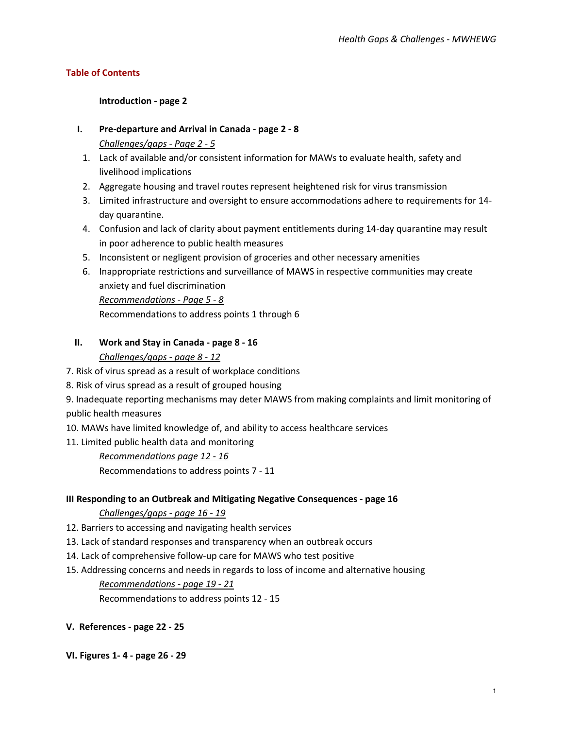### **Table of Contents**

### **[Introduction -](#page-2-0) page 2**

### **I. [Pre-departure and Arrival in Canada -](#page-2-0) page 2 - 8**

*Challenges/gaps - Page 2 - 5*

- 1. Lack of available and/or consistent information for MAWs to evaluate health, safety and livelihood implications
- 2. Aggregate housing and travel routes represent heightened risk for virus transmission
- 3. Limited infrastructure and oversight to ensure accommodations adhere to requirements for 14 day quarantine.
- 4. Confusion and lack of clarity about payment entitlements during 14-day quarantine may result in poor adherence to public health measures
- 5. Inconsistent or negligent provision of groceries and other necessary amenities
- 6. Inappropriate restrictions and surveillance of MAWS in respective communities may create anxiety and fuel discrimination *Recommendations - Page 5 - 8*

Recommendations to address points 1 through 6

### **II. [Work and Stay in Canada -](#page-8-0) page 8 - 16**

### *Challenges/gaps - page 8 - 12*

- 7. Risk of virus spread as a result of workplace conditions
- 8. Risk of virus spread as a result of grouped housing

9. Inadequate reporting mechanisms may deter MAWS from making complaints and limit monitoring of public health measures

- 10. MAWs have limited knowledge of, and ability to access healthcare services
- 11. Limited public health data and monitoring

## *Recommendations page 12 - 16*

Recommendations to address points 7 - 11

#### **[III Responding to an Outbreak and Mitigating Negative Consequences -](#page-17-0) page 16**

#### *Challenges/gaps - page 16 - 19*

- 12. Barriers to accessing and navigating health services
- 13. Lack of standard responses and transparency when an outbreak occurs
- 14. Lack of comprehensive follow-up care for MAWS who test positive
- 15. Addressing concerns and needs in regards to loss of income and alternative housing *Recommendations - page 19 - 21* Recommendations to address points 12 - 15
- **[V. References -](#page-22-0) page 22 - 25**
- **[VI. Figures 1-](#page-26-0) 4 - page 26 - 29**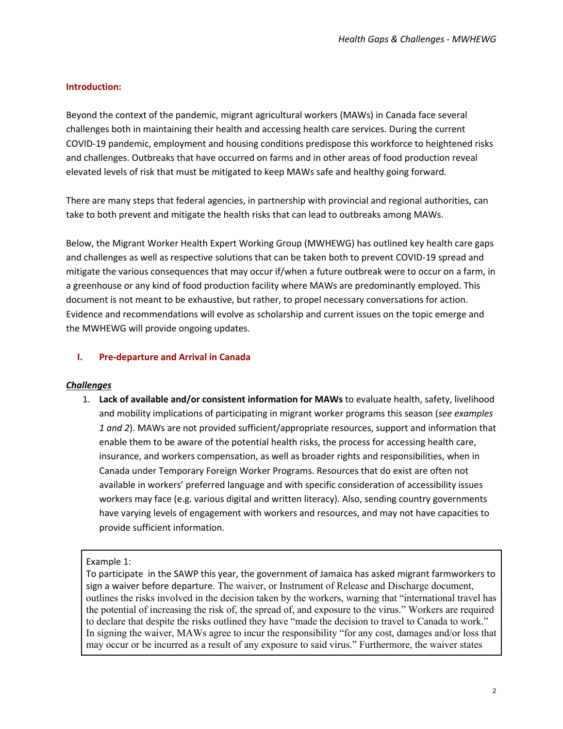## <span id="page-2-0"></span>**Introduction:**

Beyond the context of the pandemic, migrant agricultural workers (MAWs) in Canada face several challenges both in maintaining their health and accessing health care services. During the current COVID-19 pandemic, employment and housing conditions predispose this workforce to heightened risks and challenges. Outbreaks that have occurred on farms and in other areas of food production reveal elevated levels of risk that must be mitigated to keep MAWs safe and healthy going forward.

There are many steps that federal agencies, in partnership with provincial and regional authorities, can take to both prevent and mitigate the health risks that can lead to outbreaks among MAWs.

Below, the Migrant Worker Health Expert Working Group (MWHEWG) has outlined key health care gaps and challenges as well as respective solutions that can be taken both to prevent COVID-19 spread and mitigate the various consequences that may occur if/when a future outbreak were to occur on a farm, in a greenhouse or any kind of food production facility where MAWs are predominantly employed. This document is not meant to be exhaustive, but rather, to propel necessary conversations for action. Evidence and recommendations will evolve as scholarship and current issues on the topic emerge and the MWHEWG will provide ongoing updates.

### **I. Pre-departure and Arrival in Canada**

#### *Challenges*

1. **Lack of available and/or consistent information for MAWs** to evaluate health, safety, livelihood and mobility implications of participating in migrant worker programs this season (*see examples 1 and 2*). MAWs are not provided sufficient/appropriate resources, support and information that enable them to be aware of the potential health risks, the process for accessing health care, insurance, and workers compensation, as well as broader rights and responsibilities, when in Canada under Temporary Foreign Worker Programs. Resources that do exist are often not available in workers' preferred language and with specific consideration of accessibility issues workers may face (e.g. various digital and written literacy). Also, sending country governments have varying levels of engagement with workers and resources, and may not have capacities to provide sufficient information.

#### Example 1:

To participate in the SAWP this year, the government of Jamaica has asked migrant farmworkers to sign a waiver before departure. The waiver, or Instrument of Release and Discharge document, outlines the risks involved in the decision taken by the workers, warning that "international travel has the potential of increasing the risk of, the spread of, and exposure to the virus." Workers are required to declare that despite the risks outlined they have "made the decision to travel to Canada to work." In signing the waiver, MAWs agree to incur the responsibility "for any cost, damages and/or loss that may occur or be incurred as a result of any exposure to said virus." Furthermore, the waiver states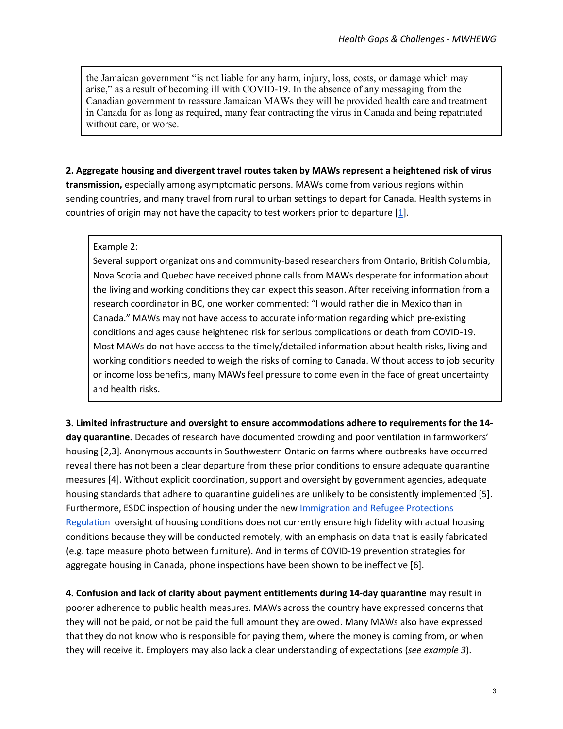the Jamaican government "is not liable for any harm, injury, loss, costs, or damage which may arise," as a result of becoming ill with COVID-19. In the absence of any messaging from the Canadian government to reassure Jamaican MAWs they will be provided health care and treatment in Canada for as long as required, many fear contracting the virus in Canada and being repatriated without care, or worse.

## **2. Aggregate housing and divergent travel routes taken by MAWs represent a heightened risk of virus transmission,** especially among asymptomatic persons. MAWs come from various regions within sending countries, and many travel from rural to urban settings to depart for Canada. Health systems in countries of origin may not have the capacity to test workers prior to departure  $[1]$ .

### Example 2:

Several support organizations and community-based researchers from Ontario, British Columbia, Nova Scotia and Quebec have received phone calls from MAWs desperate for information about the living and working conditions they can expect this season. After receiving information from a research coordinator in BC, one worker commented: "I would rather die in Mexico than in Canada." MAWs may not have access to accurate information regarding which pre-existing conditions and ages cause heightened risk for serious complications or death from COVID-19. Most MAWs do not have access to the timely/detailed information about health risks, living and working conditions needed to weigh the risks of coming to Canada. Without access to job security or income loss benefits, many MAWs feel pressure to come even in the face of great uncertainty and health risks.

**3. Limited infrastructure and oversight to ensure accommodations adhere to requirements for the 14 day quarantine.** Decades of research have documented crowding and poor ventilation in farmworkers' housing [2,3]. Anonymous accounts in Southwestern Ontario on farms where outbreaks have occurred reveal there has not been a clear departure from these prior conditions to ensure adequate quarantine measures [4]. Without explicit coordination, support and oversight by government agencies, adequate housing standards that adhere to quarantine guidelines are unlikely to be consistently implemented [5]. Furthermore, ESDC inspection of housing under the new Immigration and Refugee Protections Regulation oversight of housing conditions does not currently ensure high fidelity with actual housing conditions because they will be conducted remotely, with an emphasis on data that is easily fabricated (e.g. tape measure photo between furniture). And in terms of COVID-19 prevention strategies for aggregate housing in Canada, phone inspections have been shown to be ineffective [6].

**4. Confusion and lack of clarity about payment entitlements during 14-day quarantine** may result in poorer adherence to public health measures. MAWs across the country have expressed concerns that they will not be paid, or not be paid the full amount they are owed. Many MAWs also have expressed that they do not know who is responsible for paying them, where the money is coming from, or when they will receive it. Employers may also lack a clear understanding of expectations (*see example 3*).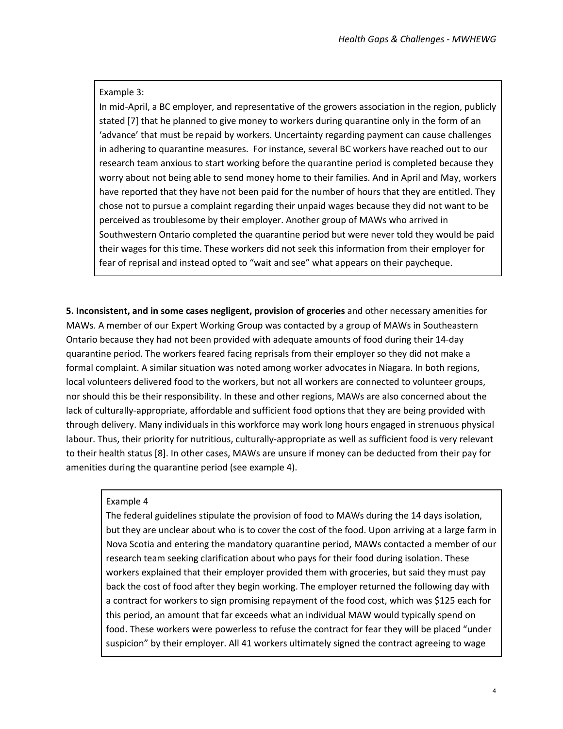#### Example 3:

In mid-April, a BC employer, and representative of the growers association in the region, publicly stated [7] that he planned to give money to workers during quarantine only in the form of an 'advance' that must be repaid by workers. Uncertainty regarding payment can cause challenges in adhering to quarantine measures. For instance, several BC workers have reached out to our research team anxious to start working before the quarantine period is completed because they worry about not being able to send money home to their families. And in April and May, workers have reported that they have not been paid for the number of hours that they are entitled. They chose not to pursue a complaint regarding their unpaid wages because they did not want to be perceived as troublesome by their employer. Another group of MAWs who arrived in Southwestern Ontario completed the quarantine period but were never told they would be paid their wages for this time. These workers did not seek this information from their employer for fear of reprisal and instead opted to "wait and see" what appears on their paycheque.

**5. Inconsistent, and in some cases negligent, provision of groceries** and other necessary amenities for MAWs. A member of our Expert Working Group was contacted by a group of MAWs in Southeastern Ontario because they had not been provided with adequate amounts of food during their 14-day quarantine period. The workers feared facing reprisals from their employer so they did not make a formal complaint. A similar situation was noted among worker advocates in Niagara. In both regions, local volunteers delivered food to the workers, but not all workers are connected to volunteer groups, nor should this be their responsibility. In these and other regions, MAWs are also concerned about the lack of culturally-appropriate, affordable and sufficient food options that they are being provided with through delivery. Many individuals in this workforce may work long hours engaged in strenuous physical labour. Thus, their priority for nutritious, culturally-appropriate as well as sufficient food is very relevant to their health status [8]. In other cases, MAWs are unsure if money can be deducted from their pay for amenities during the quarantine period (see example 4).

#### Example 4

The federal guidelines stipulate the provision of food to MAWs during the 14 days isolation, but they are unclear about who is to cover the cost of the food. Upon arriving at a large farm in Nova Scotia and entering the mandatory quarantine period, MAWs contacted a member of our research team seeking clarification about who pays for their food during isolation. These workers explained that their employer provided them with groceries, but said they must pay back the cost of food after they begin working. The employer returned the following day with a contract for workers to sign promising repayment of the food cost, which was \$125 each for this period, an amount that far exceeds what an individual MAW would typically spend on food. These workers were powerless to refuse the contract for fear they will be placed "under suspicion" by their employer. All 41 workers ultimately signed the contract agreeing to wage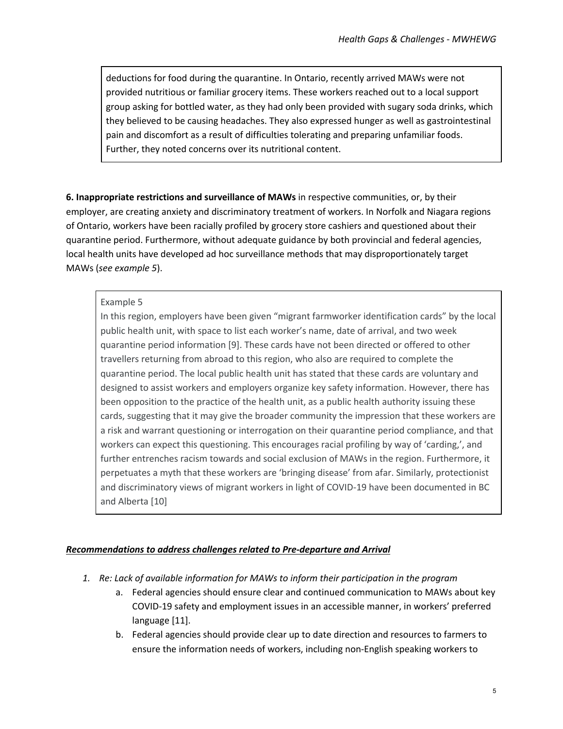deductions for food during the quarantine. In Ontario, recently arrived MAWs were not provided nutritious or familiar grocery items. These workers reached out to a local support group asking for bottled water, as they had only been provided with sugary soda drinks, which they believed to be causing headaches. They also expressed hunger as well as gastrointestinal pain and discomfort as a result of difficulties tolerating and preparing unfamiliar foods. Further, they noted concerns over its nutritional content.

**6. Inappropriate restrictions and surveillance of MAWs** in respective communities, or, by their employer, are creating anxiety and discriminatory treatment of workers. In Norfolk and Niagara regions of Ontario, workers have been racially profiled by grocery store cashiers and questioned about their quarantine period. Furthermore, without adequate guidance by both provincial and federal agencies, local health units have developed ad hoc surveillance methods that may disproportionately target MAWs (*see example 5*).

## Example 5

In this region, employers have been given "migrant farmworker identification cards" by the local public health unit, with space to list each worker's name, date of arrival, and two week quarantine period information [9]. These cards have not been directed or offered to other travellers returning from abroad to this region, who also are required to complete the quarantine period. The local public health unit has stated that these cards are voluntary and designed to assist workers and employers organize key safety information. However, there has been opposition to the practice of the health unit, as a public health authority issuing these cards, suggesting that it may give the broader community the impression that these workers are a risk and warrant questioning or interrogation on their quarantine period compliance, and that workers can expect this questioning. This encourages racial profiling by way of 'carding,', and further entrenches racism towards and social exclusion of MAWs in the region. Furthermore, it perpetuates a myth that these workers are 'bringing disease' from afar. Similarly, protectionist and discriminatory views of migrant workers in light of COVID-19 have been documented in BC and Alberta [10]

#### *Recommendations to address challenges related to Pre-departure and Arrival*

- *1. Re: Lack of available information for MAWs to inform their participation in the program*
	- a. Federal agencies should ensure clear and continued communication to MAWs about key COVID-19 safety and employment issues in an accessible manner, in workers' preferred language [11].
	- b. Federal agencies should provide clear up to date direction and resources to farmers to ensure the information needs of workers, including non-English speaking workers to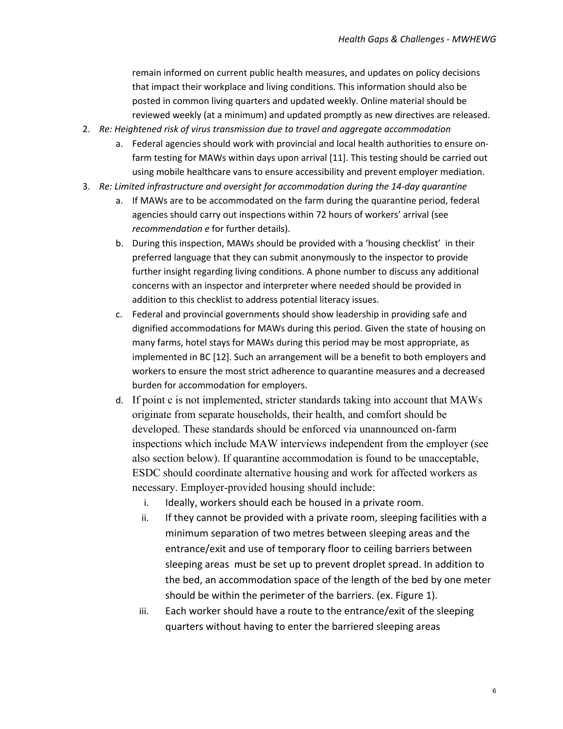remain informed on current public health measures, and updates on policy decisions that impact their workplace and living conditions. This information should also be posted in common living quarters and updated weekly. Online material should be reviewed weekly (at a minimum) and updated promptly as new directives are released.

- 2. *Re: Heightened risk of virus transmission due to travel and aggregate accommodation*
	- a. Federal agencies should work with provincial and local health authorities to ensure onfarm testing for MAWs within days upon arrival [11]. This testing should be carried out using mobile healthcare vans to ensure accessibility and prevent employer mediation.
- 3. *Re: Limited infrastructure and oversight for accommodation during the 14-day quarantine*
	- a. If MAWs are to be accommodated on the farm during the quarantine period, federal agencies should carry out inspections within 72 hours of workers' arrival (see *recommendation e* for further details).
	- b. During this inspection, MAWs should be provided with a 'housing checklist' in their preferred language that they can submit anonymously to the inspector to provide further insight regarding living conditions. A phone number to discuss any additional concerns with an inspector and interpreter where needed should be provided in addition to this checklist to address potential literacy issues.
	- c. Federal and provincial governments should show leadership in providing safe and dignified accommodations for MAWs during this period. Given the state of housing on many farms, hotel stays for MAWs during this period may be most appropriate, as implemented in BC [12]. Such an arrangement will be a benefit to both employers and workers to ensure the most strict adherence to quarantine measures and a decreased burden for accommodation for employers.
	- d. If point c is not implemented, stricter standards taking into account that MAWs originate from separate households, their health, and comfort should be developed. These standards should be enforced via unannounced on-farm inspections which include MAW interviews independent from the employer (see also section below). If quarantine accommodation is found to be unacceptable, ESDC should coordinate alternative housing and work for affected workers as necessary. Employer-provided housing should include:
		- i. Ideally, workers should each be housed in a private room.
		- ii. If they cannot be provided with a private room, sleeping facilities with a minimum separation of two metres between sleeping areas and the entrance/exit and use of temporary floor to ceiling barriers between sleeping areas must be set up to prevent droplet spread. In addition to the bed, an accommodation space of the length of the bed by one meter should be within the perimeter of the barriers. (ex. Figure 1).
		- iii. Each worker should have a route to the entrance/exit of the sleeping quarters without having to enter the barriered sleeping areas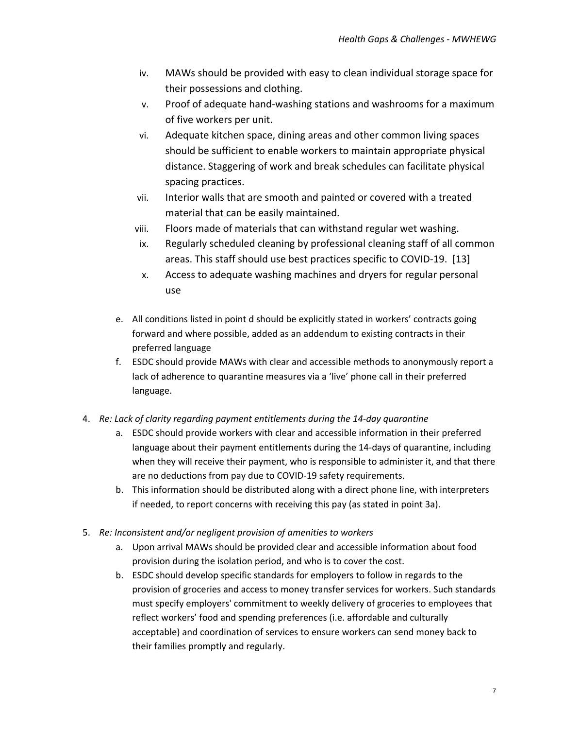- iv. MAWs should be provided with easy to clean individual storage space for their possessions and clothing.
- v. Proof of adequate hand-washing stations and washrooms for a maximum of five workers per unit.
- vi. Adequate kitchen space, dining areas and other common living spaces should be sufficient to enable workers to maintain appropriate physical distance. Staggering of work and break schedules can facilitate physical spacing practices.
- vii. Interior walls that are smooth and painted or covered with a treated material that can be easily maintained.
- viii. Floors made of materials that can withstand regular wet washing.
- ix. Regularly scheduled cleaning by professional cleaning staff of all common areas. This staff should use best practices specific to COVID-19. [13]
- x. Access to adequate washing machines and dryers for regular personal use
- e. All conditions listed in point d should be explicitly stated in workers' contracts going forward and where possible, added as an addendum to existing contracts in their preferred language
- f. ESDC should provide MAWs with clear and accessible methods to anonymously report a lack of adherence to quarantine measures via a 'live' phone call in their preferred language.
- 4. *Re: Lack of clarity regarding payment entitlements during the 14-day quarantine*
	- a. ESDC should provide workers with clear and accessible information in their preferred language about their payment entitlements during the 14-days of quarantine, including when they will receive their payment, who is responsible to administer it, and that there are no deductions from pay due to COVID-19 safety requirements.
	- b. This information should be distributed along with a direct phone line, with interpreters if needed, to report concerns with receiving this pay (as stated in point 3a).
- 5. *Re: Inconsistent and/or negligent provision of amenities to workers*
	- a. Upon arrival MAWs should be provided clear and accessible information about food provision during the isolation period, and who is to cover the cost.
	- b. ESDC should develop specific standards for employers to follow in regards to the provision of groceries and access to money transfer services for workers. Such standards must specify employers' commitment to weekly delivery of groceries to employees that reflect workers' food and spending preferences (i.e. affordable and culturally acceptable) and coordination of services to ensure workers can send money back to their families promptly and regularly.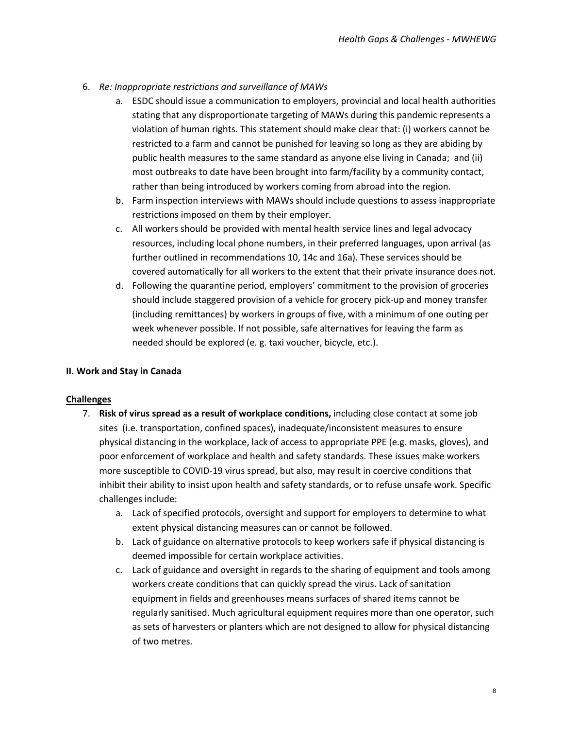- <span id="page-8-0"></span>6. *Re: Inappropriate restrictions and surveillance of MAWs*
	- a. ESDC should issue a communication to employers, provincial and local health authorities stating that any disproportionate targeting of MAWs during this pandemic represents a violation of human rights. This statement should make clear that: (i) workers cannot be restricted to a farm and cannot be punished for leaving so long as they are abiding by public health measures to the same standard as anyone else living in Canada; and (ii) most outbreaks to date have been brought into farm/facility by a community contact, rather than being introduced by workers coming from abroad into the region.
	- b. Farm inspection interviews with MAWs should include questions to assess inappropriate restrictions imposed on them by their employer.
	- c. All workers should be provided with mental health service lines and legal advocacy resources, including local phone numbers, in their preferred languages, upon arrival (as further outlined in recommendations 10, 14c and 16a). These services should be covered automatically for all workers to the extent that their private insurance does not.
	- d. Following the quarantine period, employers' commitment to the provision of groceries should include staggered provision of a vehicle for grocery pick-up and money transfer (including remittances) by workers in groups of five, with a minimum of one outing per week whenever possible. If not possible, safe alternatives for leaving the farm as needed should be explored (e. g. taxi voucher, bicycle, etc.).

## **II. Work and Stay in Canada**

#### **Challenges**

- 7. **Risk of virus spread as a result of workplace conditions,** including close contact at some job sites (i.e. transportation, confined spaces), inadequate/inconsistent measures to ensure physical distancing in the workplace, lack of access to appropriate PPE (e.g. masks, gloves), and poor enforcement of workplace and health and safety standards. These issues make workers more susceptible to COVID-19 virus spread, but also, may result in coercive conditions that inhibit their ability to insist upon health and safety standards, or to refuse unsafe work. Specific challenges include:
	- a. Lack of specified protocols, oversight and support for employers to determine to what extent physical distancing measures can or cannot be followed.
	- b. Lack of guidance on alternative protocols to keep workers safe if physical distancing is deemed impossible for certain workplace activities.
	- c. Lack of guidance and oversight in regards to the sharing of equipment and tools among workers create conditions that can quickly spread the virus. Lack of sanitation equipment in fields and greenhouses means surfaces of shared items cannot be regularly sanitised. Much agricultural equipment requires more than one operator, such as sets of harvesters or planters which are not designed to allow for physical distancing of two metres.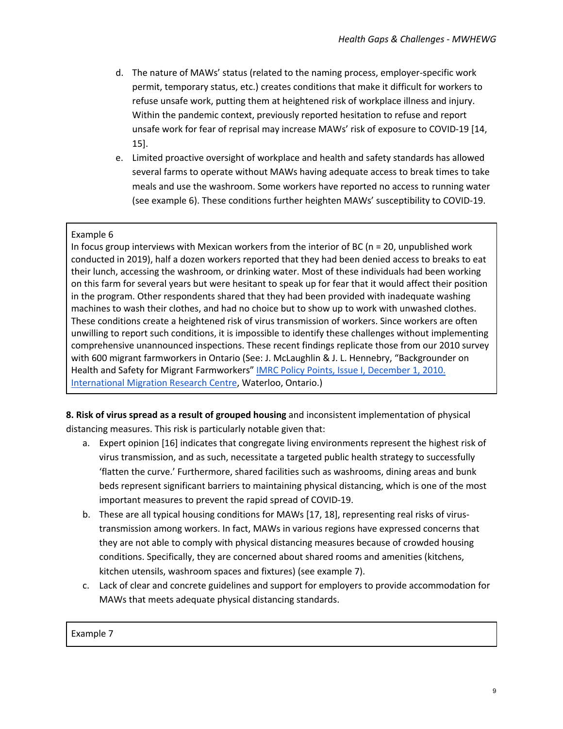- d. The nature of MAWs' status (related to the naming process, employer-specific work permit, temporary status, etc.) creates conditions that make it difficult for workers to refuse unsafe work, putting them at heightened risk of workplace illness and injury. Within the pandemic context, previously reported hesitation to refuse and report unsafe work for fear of reprisal may increase MAWs' risk of exposure to COVID-19 [14, 15].
- e. Limited proactive oversight of workplace and health and safety standards has allowed several farms to operate without MAWs having adequate access to break times to take meals and use the washroom. Some workers have reported no access to running water (see example 6). These conditions further heighten MAWs' susceptibility to COVID-19.

## Example 6

In focus group interviews with Mexican workers from the interior of BC ( $n = 20$ , unpublished work conducted in 2019), half a dozen workers reported that they had been denied access to breaks to eat their lunch, accessing the washroom, or drinking water. Most of these individuals had been working on this farm for several years but were hesitant to speak up for fear that it would affect their position in the program. Other respondents shared that they had been provided with inadequate washing machines to wash their clothes, and had no choice but to show up to work with unwashed clothes. These conditions create a heightened risk of virus transmission of workers. Since workers are often unwilling to report such conditions, it is impossible to identify these challenges without implementing comprehensive unannounced inspections. These recent findings replicate those from our 2010 survey with 600 migrant farmworkers in Ontario (See: J. McLaughlin & J. L. Hennebry, "Backgrounder on Health and Safety for Migrant Farmworkers" IMRC Policy Points, Issue I, December 1, 2010. International Migration Research Centre, Waterloo, Ontario.)

**8. Risk of virus spread as a result of grouped housing** and inconsistent implementation of physical distancing measures. This risk is particularly notable given that:

- a. Expert opinion [16] indicates that congregate living environments represent the highest risk of virus transmission, and as such, necessitate a targeted public health strategy to successfully 'flatten the curve.' Furthermore, shared facilities such as washrooms, dining areas and bunk beds represent significant barriers to maintaining physical distancing, which is one of the most important measures to prevent the rapid spread of COVID-19.
- b. These are all typical housing conditions for MAWs [17, 18], representing real risks of virustransmission among workers. In fact, MAWs in various regions have expressed concerns that they are not able to comply with physical distancing measures because of crowded housing conditions. Specifically, they are concerned about shared rooms and amenities (kitchens, kitchen utensils, washroom spaces and fixtures) (see example 7).
- c. Lack of clear and concrete guidelines and support for employers to provide accommodation for MAWs that meets adequate physical distancing standards.

Example 7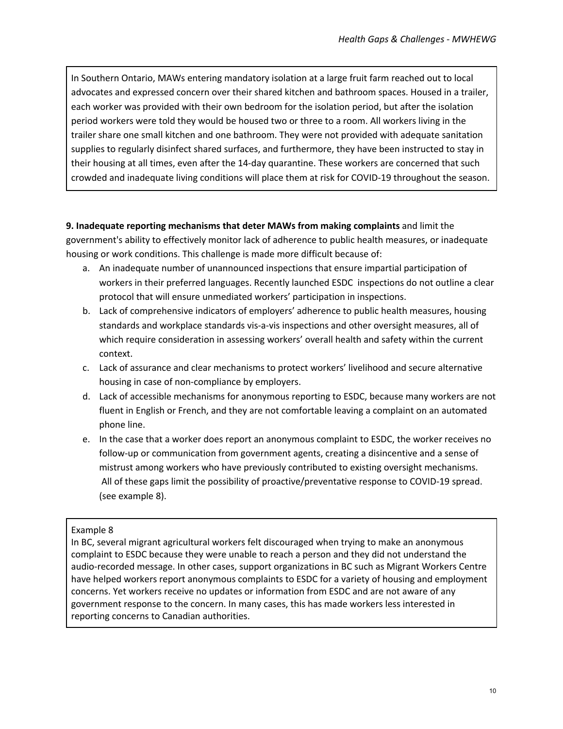In Southern Ontario, MAWs entering mandatory isolation at a large fruit farm reached out to local advocates and expressed concern over their shared kitchen and bathroom spaces. Housed in a trailer, each worker was provided with their own bedroom for the isolation period, but after the isolation period workers were told they would be housed two or three to a room. All workers living in the trailer share one small kitchen and one bathroom. They were not provided with adequate sanitation supplies to regularly disinfect shared surfaces, and furthermore, they have been instructed to stay in their housing at all times, even after the 14-day quarantine. These workers are concerned that such crowded and inadequate living conditions will place them at risk for COVID-19 throughout the season.

## **9. Inadequate reporting mechanisms that deter MAWs from making complaints** and limit the government's ability to effectively monitor lack of adherence to public health measures, or inadequate housing or work conditions. This challenge is made more difficult because of:

- a. An inadequate number of unannounced inspections that ensure impartial participation of workers in their preferred languages. Recently launched ESDC inspections do not outline a clear protocol that will ensure unmediated workers' participation in inspections.
- b. Lack of comprehensive indicators of employers' adherence to public health measures, housing standards and workplace standards vis-a-vis inspections and other oversight measures, all of which require consideration in assessing workers' overall health and safety within the current context.
- c. Lack of assurance and clear mechanisms to protect workers' livelihood and secure alternative housing in case of non-compliance by employers.
- d. Lack of accessible mechanisms for anonymous reporting to ESDC, because many workers are not fluent in English or French, and they are not comfortable leaving a complaint on an automated phone line.
- e. In the case that a worker does report an anonymous complaint to ESDC, the worker receives no follow-up or communication from government agents, creating a disincentive and a sense of mistrust among workers who have previously contributed to existing oversight mechanisms. All of these gaps limit the possibility of proactive/preventative response to COVID-19 spread. (see example 8).

## Example 8

In BC, several migrant agricultural workers felt discouraged when trying to make an anonymous complaint to ESDC because they were unable to reach a person and they did not understand the audio-recorded message. In other cases, support organizations in BC such as Migrant Workers Centre have helped workers report anonymous complaints to ESDC for a variety of housing and employment concerns. Yet workers receive no updates or information from ESDC and are not aware of any government response to the concern. In many cases, this has made workers less interested in reporting concerns to Canadian authorities.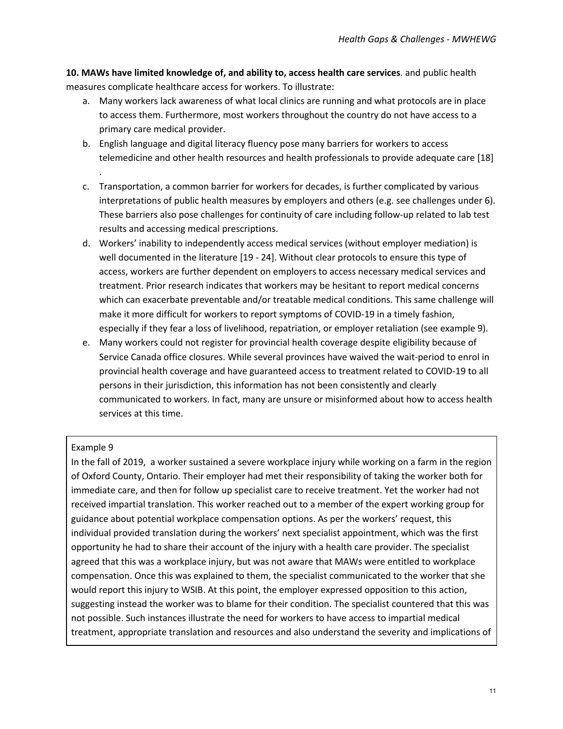**10. MAWs have limited knowledge of, and ability to, access health care services**. and public health measures complicate healthcare access for workers. To illustrate:

- a. Many workers lack awareness of what local clinics are running and what protocols are in place to access them. Furthermore, most workers throughout the country do not have access to a primary care medical provider.
- b. English language and digital literacy fluency pose many barriers for workers to access telemedicine and other health resources and health professionals to provide adequate care [18] .
- c. Transportation, a common barrier for workers for decades, is further complicated by various interpretations of public health measures by employers and others (e.g. see challenges under 6). These barriers also pose challenges for continuity of care including follow-up related to lab test results and accessing medical prescriptions.
- d. Workers' inability to independently access medical services (without employer mediation) is well documented in the literature [19 - 24]. Without clear protocols to ensure this type of access, workers are further dependent on employers to access necessary medical services and treatment. Prior research indicates that workers may be hesitant to report medical concerns which can exacerbate preventable and/or treatable medical conditions. This same challenge will make it more difficult for workers to report symptoms of COVID-19 in a timely fashion, especially if they fear a loss of livelihood, repatriation, or employer retaliation (see example 9).
- e. Many workers could not register for provincial health coverage despite eligibility because of Service Canada office closures. While several provinces have waived the wait-period to enrol in provincial health coverage and have guaranteed access to treatment related to COVID-19 to all persons in their jurisdiction, this information has not been consistently and clearly communicated to workers. In fact, many are unsure or misinformed about how to access health services at this time.

#### Example 9

In the fall of 2019, a worker sustained a severe workplace injury while working on a farm in the region of Oxford County, Ontario. Their employer had met their responsibility of taking the worker both for immediate care, and then for follow up specialist care to receive treatment. Yet the worker had not received impartial translation. This worker reached out to a member of the expert working group for guidance about potential workplace compensation options. As per the workers' request, this individual provided translation during the workers' next specialist appointment, which was the first opportunity he had to share their account of the injury with a health care provider. The specialist agreed that this was a workplace injury, but was not aware that MAWs were entitled to workplace compensation. Once this was explained to them, the specialist communicated to the worker that she would report this injury to WSIB. At this point, the employer expressed opposition to this action, suggesting instead the worker was to blame for their condition. The specialist countered that this was not possible. Such instances illustrate the need for workers to have access to impartial medical treatment, appropriate translation and resources and also understand the severity and implications of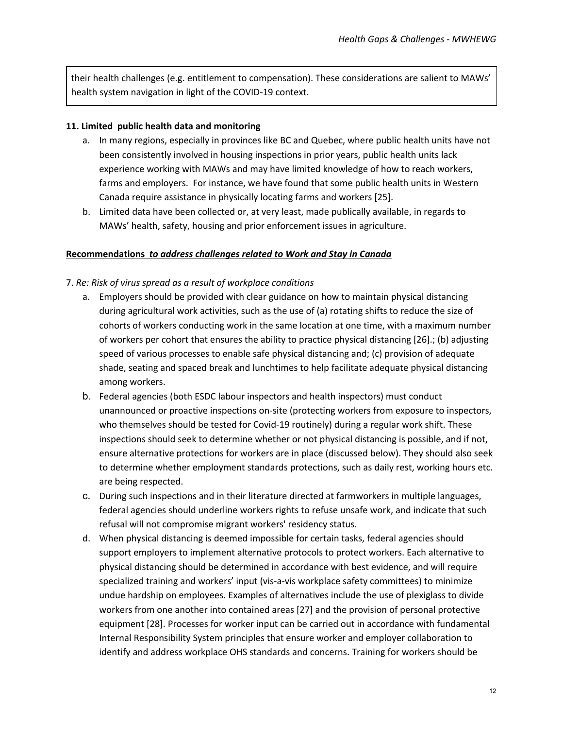their health challenges (e.g. entitlement to compensation). These considerations are salient to MAWs' health system navigation in light of the COVID-19 context.

#### **11. Limited public health data and monitoring**

- a. In many regions, especially in provinces like BC and Quebec, where public health units have not been consistently involved in housing inspections in prior years, public health units lack experience working with MAWs and may have limited knowledge of how to reach workers, farms and employers. For instance, we have found that some public health units in Western Canada require assistance in physically locating farms and workers [25].
- b. Limited data have been collected or, at very least, made publically available, in regards to MAWs' health, safety, housing and prior enforcement issues in agriculture.

#### **Recommendations** *to address challenges related to Work and Stay in Canada*

#### 7. *Re: Risk of virus spread as a result of workplace conditions*

- a. Employers should be provided with clear guidance on how to maintain physical distancing during agricultural work activities, such as the use of (a) rotating shifts to reduce the size of cohorts of workers conducting work in the same location at one time, with a maximum number of workers per cohort that ensures the ability to practice physical distancing [26].; (b) adjusting speed of various processes to enable safe physical distancing and; (c) provision of adequate shade, seating and spaced break and lunchtimes to help facilitate adequate physical distancing among workers.
- b. Federal agencies (both ESDC labour inspectors and health inspectors) must conduct unannounced or proactive inspections on-site (protecting workers from exposure to inspectors, who themselves should be tested for Covid-19 routinely) during a regular work shift. These inspections should seek to determine whether or not physical distancing is possible, and if not, ensure alternative protections for workers are in place (discussed below). They should also seek to determine whether employment standards protections, such as daily rest, working hours etc. are being respected.
- c. During such inspections and in their literature directed at farmworkers in multiple languages, federal agencies should underline workers rights to refuse unsafe work, and indicate that such refusal will not compromise migrant workers' residency status.
- d. When physical distancing is deemed impossible for certain tasks, federal agencies should support employers to implement alternative protocols to protect workers. Each alternative to physical distancing should be determined in accordance with best evidence, and will require specialized training and workers' input (vis-a-vis workplace safety committees) to minimize undue hardship on employees. Examples of alternatives include the use of plexiglass to divide workers from one another into contained areas [27] and the provision of personal protective equipment [28]. Processes for worker input can be carried out in accordance with fundamental Internal Responsibility System principles that ensure worker and employer collaboration to identify and address workplace OHS standards and concerns. Training for workers should be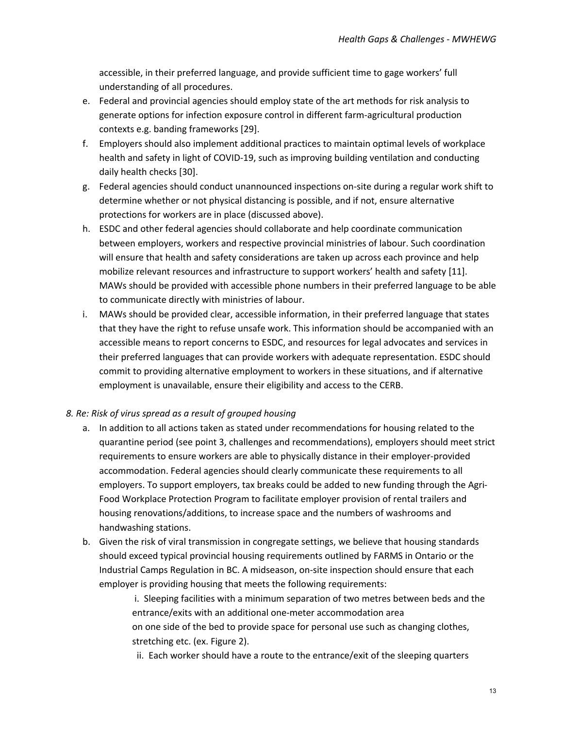accessible, in their preferred language, and provide sufficient time to gage workers' full understanding of all procedures.

- e. Federal and provincial agencies should employ state of the art methods for risk analysis to generate options for infection exposure control in different farm-agricultural production contexts e.g. banding frameworks [29].
- f. Employers should also implement additional practices to maintain optimal levels of workplace health and safety in light of COVID-19, such as improving building ventilation and conducting daily health checks [30].
- g. Federal agencies should conduct unannounced inspections on-site during a regular work shift to determine whether or not physical distancing is possible, and if not, ensure alternative protections for workers are in place (discussed above).
- h. ESDC and other federal agencies should collaborate and help coordinate communication between employers, workers and respective provincial ministries of labour. Such coordination will ensure that health and safety considerations are taken up across each province and help mobilize relevant resources and infrastructure to support workers' health and safety [11]. MAWs should be provided with accessible phone numbers in their preferred language to be able to communicate directly with ministries of labour.
- i. MAWs should be provided clear, accessible information, in their preferred language that states that they have the right to refuse unsafe work. This information should be accompanied with an accessible means to report concerns to ESDC, and resources for legal advocates and services in their preferred languages that can provide workers with adequate representation. ESDC should commit to providing alternative employment to workers in these situations, and if alternative employment is unavailable, ensure their eligibility and access to the CERB.

#### *8. Re: Risk of virus spread as a result of grouped housing*

- a. In addition to all actions taken as stated under recommendations for housing related to the quarantine period (see point 3, challenges and recommendations), employers should meet strict requirements to ensure workers are able to physically distance in their employer-provided accommodation. Federal agencies should clearly communicate these requirements to all employers. To support employers, tax breaks could be added to new funding through the Agri-Food Workplace Protection Program to facilitate employer provision of rental trailers and housing renovations/additions, to increase space and the numbers of washrooms and handwashing stations.
- b. Given the risk of viral transmission in congregate settings, we believe that housing standards should exceed typical provincial housing requirements outlined by FARMS in Ontario or the Industrial Camps Regulation in BC. A midseason, on-site inspection should ensure that each employer is providing housing that meets the following requirements:

i. Sleeping facilities with a minimum separation of two metres between beds and the entrance/exits with an additional one-meter accommodation area on one side of the bed to provide space for personal use such as changing clothes, stretching etc. (ex. Figure 2).

ii. Each worker should have a route to the entrance/exit of the sleeping quarters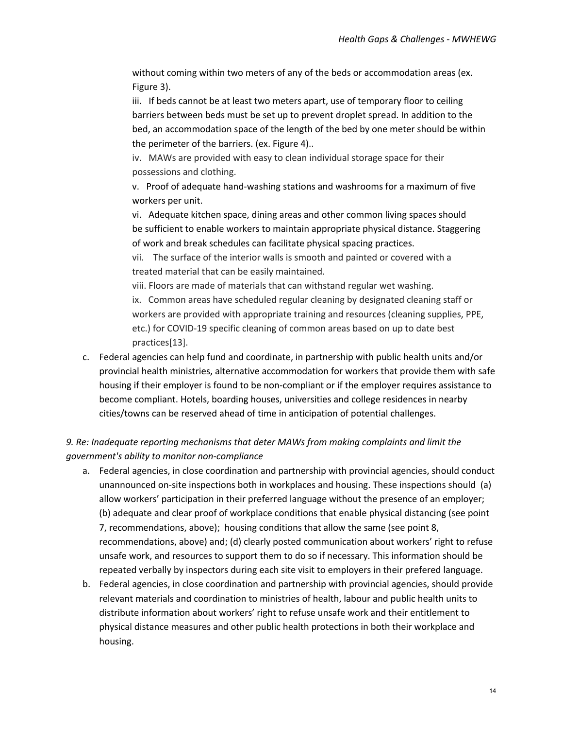without coming within two meters of any of the beds or accommodation areas (ex. Figure 3).

iii. If beds cannot be at least two meters apart, use of temporary floor to ceiling barriers between beds must be set up to prevent droplet spread. In addition to the bed, an accommodation space of the length of the bed by one meter should be within the perimeter of the barriers. (ex. Figure 4)..

iv. MAWs are provided with easy to clean individual storage space for their possessions and clothing.

v. Proof of adequate hand-washing stations and washrooms for a maximum of five workers per unit.

vi. Adequate kitchen space, dining areas and other common living spaces should be sufficient to enable workers to maintain appropriate physical distance. Staggering of work and break schedules can facilitate physical spacing practices.

vii. The surface of the interior walls is smooth and painted or covered with a treated material that can be easily maintained.

viii. Floors are made of materials that can withstand regular wet washing. ix. Common areas have scheduled regular cleaning by designated cleaning staff or workers are provided with appropriate training and resources (cleaning supplies, PPE, etc.) for COVID-19 specific cleaning of common areas based on up to date best practices[13].

c. Federal agencies can help fund and coordinate, in partnership with public health units and/or provincial health ministries, alternative accommodation for workers that provide them with safe housing if their employer is found to be non-compliant or if the employer requires assistance to become compliant. Hotels, boarding houses, universities and college residences in nearby cities/towns can be reserved ahead of time in anticipation of potential challenges.

## *9. Re: Inadequate reporting mechanisms that deter MAWs from making complaints and limit the government's ability to monitor non-compliance*

- a. Federal agencies, in close coordination and partnership with provincial agencies, should conduct unannounced on-site inspections both in workplaces and housing. These inspections should (a) allow workers' participation in their preferred language without the presence of an employer; (b) adequate and clear proof of workplace conditions that enable physical distancing (see point 7, recommendations, above); housing conditions that allow the same (see point 8, recommendations, above) and; (d) clearly posted communication about workers' right to refuse unsafe work, and resources to support them to do so if necessary. This information should be repeated verbally by inspectors during each site visit to employers in their prefered language.
- b. Federal agencies, in close coordination and partnership with provincial agencies, should provide relevant materials and coordination to ministries of health, labour and public health units to distribute information about workers' right to refuse unsafe work and their entitlement to physical distance measures and other public health protections in both their workplace and housing.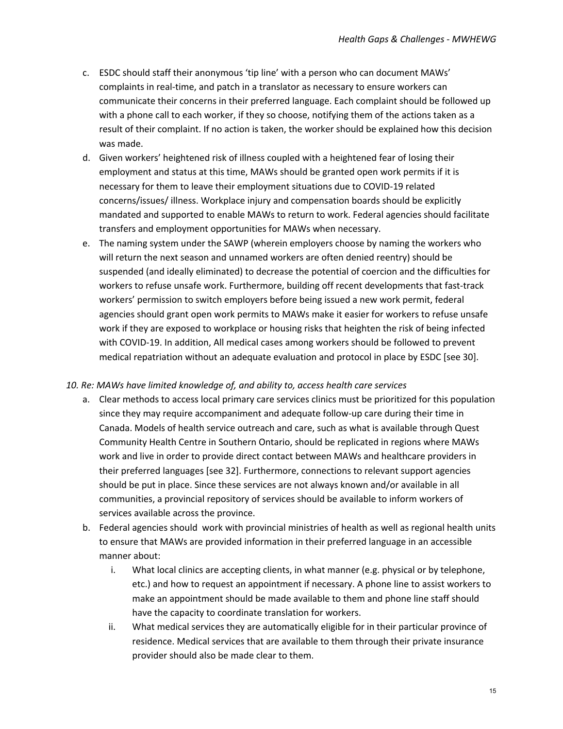- c. ESDC should staff their anonymous 'tip line' with a person who can document MAWs' complaints in real-time, and patch in a translator as necessary to ensure workers can communicate their concerns in their preferred language. Each complaint should be followed up with a phone call to each worker, if they so choose, notifying them of the actions taken as a result of their complaint. If no action is taken, the worker should be explained how this decision was made.
- d. Given workers' heightened risk of illness coupled with a heightened fear of losing their employment and status at this time, MAWs should be granted open work permits if it is necessary for them to leave their employment situations due to COVID-19 related concerns/issues/ illness. Workplace injury and compensation boards should be explicitly mandated and supported to enable MAWs to return to work. Federal agencies should facilitate transfers and employment opportunities for MAWs when necessary.
- e. The naming system under the SAWP (wherein employers choose by naming the workers who will return the next season and unnamed workers are often denied reentry) should be suspended (and ideally eliminated) to decrease the potential of coercion and the difficulties for workers to refuse unsafe work. Furthermore, building off recent developments that fast-track workers' permission to switch employers before being issued a new work permit, federal agencies should grant open work permits to MAWs make it easier for workers to refuse unsafe work if they are exposed to workplace or housing risks that heighten the risk of being infected with COVID-19. In addition, All medical cases among workers should be followed to prevent medical repatriation without an adequate evaluation and protocol in place by ESDC [see 30].

#### *10. Re: MAWs have limited knowledge of, and ability to, access health care services*

- a. Clear methods to access local primary care services clinics must be prioritized for this population since they may require accompaniment and adequate follow-up care during their time in Canada. Models of health service outreach and care, such as what is available through Quest Community Health Centre in Southern Ontario, should be replicated in regions where MAWs work and live in order to provide direct contact between MAWs and healthcare providers in their preferred languages [see 32]. Furthermore, connections to relevant support agencies should be put in place. Since these services are not always known and/or available in all communities, a provincial repository of services should be available to inform workers of services available across the province.
- b. Federal agencies should work with provincial ministries of health as well as regional health units to ensure that MAWs are provided information in their preferred language in an accessible manner about:
	- i. What local clinics are accepting clients, in what manner (e.g. physical or by telephone, etc.) and how to request an appointment if necessary. A phone line to assist workers to make an appointment should be made available to them and phone line staff should have the capacity to coordinate translation for workers.
	- ii. What medical services they are automatically eligible for in their particular province of residence. Medical services that are available to them through their private insurance provider should also be made clear to them.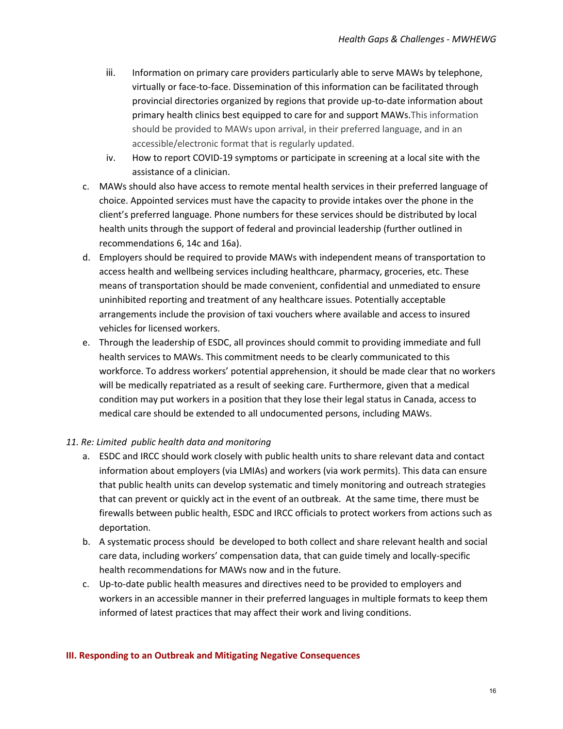- iii. Information on primary care providers particularly able to serve MAWs by telephone, virtually or face-to-face. Dissemination of this information can be facilitated through provincial directories organized by regions that provide up-to-date information about primary health clinics best equipped to care for and support MAWs.This information should be provided to MAWs upon arrival, in their preferred language, and in an accessible/electronic format that is regularly updated.
- iv. How to report COVID-19 symptoms or participate in screening at a local site with the assistance of a clinician.
- c. MAWs should also have access to remote mental health services in their preferred language of choice. Appointed services must have the capacity to provide intakes over the phone in the client's preferred language. Phone numbers for these services should be distributed by local health units through the support of federal and provincial leadership (further outlined in recommendations 6, 14c and 16a).
- d. Employers should be required to provide MAWs with independent means of transportation to access health and wellbeing services including healthcare, pharmacy, groceries, etc. These means of transportation should be made convenient, confidential and unmediated to ensure uninhibited reporting and treatment of any healthcare issues. Potentially acceptable arrangements include the provision of taxi vouchers where available and access to insured vehicles for licensed workers.
- e. Through the leadership of ESDC, all provinces should commit to providing immediate and full health services to MAWs. This commitment needs to be clearly communicated to this workforce. To address workers' potential apprehension, it should be made clear that no workers will be medically repatriated as a result of seeking care. Furthermore, given that a medical condition may put workers in a position that they lose their legal status in Canada, access to medical care should be extended to all undocumented persons, including MAWs.

#### *11. Re: Limited public health data and monitoring*

- a. ESDC and IRCC should work closely with public health units to share relevant data and contact information about employers (via LMIAs) and workers (via work permits). This data can ensure that public health units can develop systematic and timely monitoring and outreach strategies that can prevent or quickly act in the event of an outbreak. At the same time, there must be firewalls between public health, ESDC and IRCC officials to protect workers from actions such as deportation.
- b. A systematic process should be developed to both collect and share relevant health and social care data, including workers' compensation data, that can guide timely and locally-specific health recommendations for MAWs now and in the future.
- c. Up-to-date public health measures and directives need to be provided to employers and workers in an accessible manner in their preferred languages in multiple formats to keep them informed of latest practices that may affect their work and living conditions.

#### **III. Responding to an Outbreak and Mitigating Negative Consequences**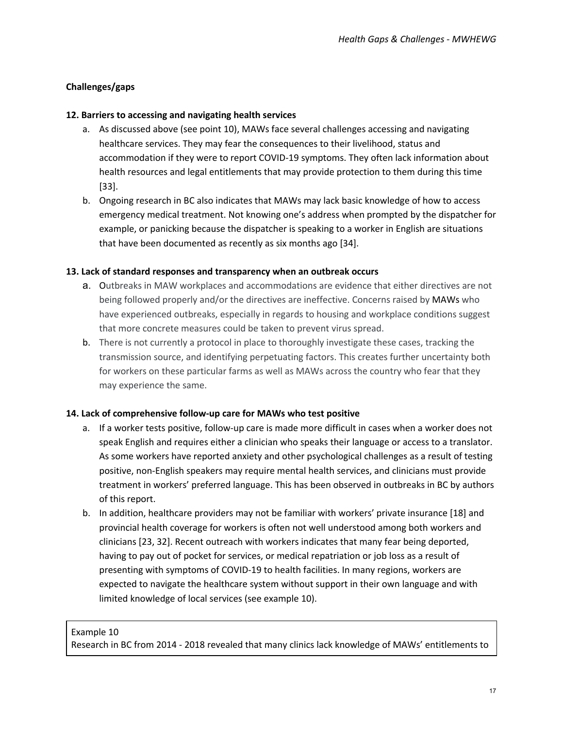## <span id="page-17-0"></span>**Challenges/gaps**

### **12. Barriers to accessing and navigating health services**

- a. As discussed above (see point 10), MAWs face several challenges accessing and navigating healthcare services. They may fear the consequences to their livelihood, status and accommodation if they were to report COVID-19 symptoms. They often lack information about health resources and legal entitlements that may provide protection to them during this time [33].
- b. Ongoing research in BC also indicates that MAWs may lack basic knowledge of how to access emergency medical treatment. Not knowing one's address when prompted by the dispatcher for example, or panicking because the dispatcher is speaking to a worker in English are situations that have been documented as recently as six months ago [34].

### **13. Lack of standard responses and transparency when an outbreak occurs**

- a. Outbreaks in MAW workplaces and accommodations are evidence that either directives are not being followed properly and/or the directives are ineffective. Concerns raised by MAWs who have experienced outbreaks, especially in regards to housing and workplace conditions suggest that more concrete measures could be taken to prevent virus spread.
- b. There is not currently a protocol in place to thoroughly investigate these cases, tracking the transmission source, and identifying perpetuating factors. This creates further uncertainty both for workers on these particular farms as well as MAWs across the country who fear that they may experience the same.

#### **14. Lack of comprehensive follow-up care for MAWs who test positive**

- a. If a worker tests positive, follow-up care is made more difficult in cases when a worker does not speak English and requires either a clinician who speaks their language or access to a translator. As some workers have reported anxiety and other psychological challenges as a result of testing positive, non-English speakers may require mental health services, and clinicians must provide treatment in workers' preferred language. This has been observed in outbreaks in BC by authors of this report.
- b. In addition, healthcare providers may not be familiar with workers' private insurance [18] and provincial health coverage for workers is often not well understood among both workers and clinicians [23, 32]. Recent outreach with workers indicates that many fear being deported, having to pay out of pocket for services, or medical repatriation or job loss as a result of presenting with symptoms of COVID-19 to health facilities. In many regions, workers are expected to navigate the healthcare system without support in their own language and with limited knowledge of local services (see example 10).

## Example 10

Research in BC from 2014 - 2018 revealed that many clinics lack knowledge of MAWs' entitlements to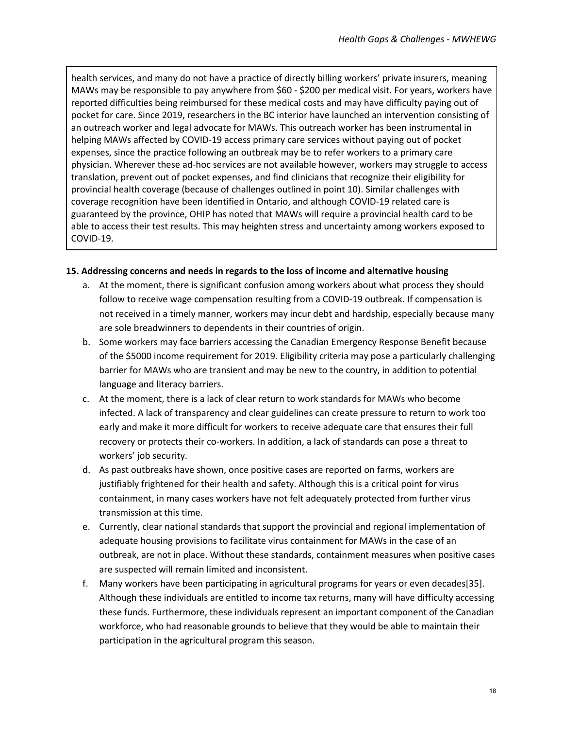health services, and many do not have a practice of directly billing workers' private insurers, meaning MAWs may be responsible to pay anywhere from \$60 - \$200 per medical visit. For years, workers have reported difficulties being reimbursed for these medical costs and may have difficulty paying out of pocket for care. Since 2019, researchers in the BC interior have launched an intervention consisting of an outreach worker and legal advocate for MAWs. This outreach worker has been instrumental in helping MAWs affected by COVID-19 access primary care services without paying out of pocket expenses, since the practice following an outbreak may be to refer workers to a primary care physician. Wherever these ad-hoc services are not available however, workers may struggle to access translation, prevent out of pocket expenses, and find clinicians that recognize their eligibility for provincial health coverage (because of challenges outlined in point 10). Similar challenges with coverage recognition have been identified in Ontario, and although COVID-19 related care is guaranteed by the province, OHIP has noted that MAWs will require a provincial health card to be able to access their test results. This may heighten stress and uncertainty among workers exposed to COVID-19.

#### **15. Addressing concerns and needs in regards to the loss of income and alternative housing**

- a. At the moment, there is significant confusion among workers about what process they should follow to receive wage compensation resulting from a COVID-19 outbreak. If compensation is not received in a timely manner, workers may incur debt and hardship, especially because many are sole breadwinners to dependents in their countries of origin.
- b. Some workers may face barriers accessing the Canadian Emergency Response Benefit because of the \$5000 income requirement for 2019. Eligibility criteria may pose a particularly challenging barrier for MAWs who are transient and may be new to the country, in addition to potential language and literacy barriers.
- c. At the moment, there is a lack of clear return to work standards for MAWs who become infected. A lack of transparency and clear guidelines can create pressure to return to work too early and make it more difficult for workers to receive adequate care that ensures their full recovery or protects their co-workers. In addition, a lack of standards can pose a threat to workers' job security.
- d. As past outbreaks have shown, once positive cases are reported on farms, workers are justifiably frightened for their health and safety. Although this is a critical point for virus containment, in many cases workers have not felt adequately protected from further virus transmission at this time.
- e. Currently, clear national standards that support the provincial and regional implementation of adequate housing provisions to facilitate virus containment for MAWs in the case of an outbreak, are not in place. Without these standards, containment measures when positive cases are suspected will remain limited and inconsistent.
- f. Many workers have been participating in agricultural programs for years or even decades[35]. Although these individuals are entitled to income tax returns, many will have difficulty accessing these funds. Furthermore, these individuals represent an important component of the Canadian workforce, who had reasonable grounds to believe that they would be able to maintain their participation in the agricultural program this season.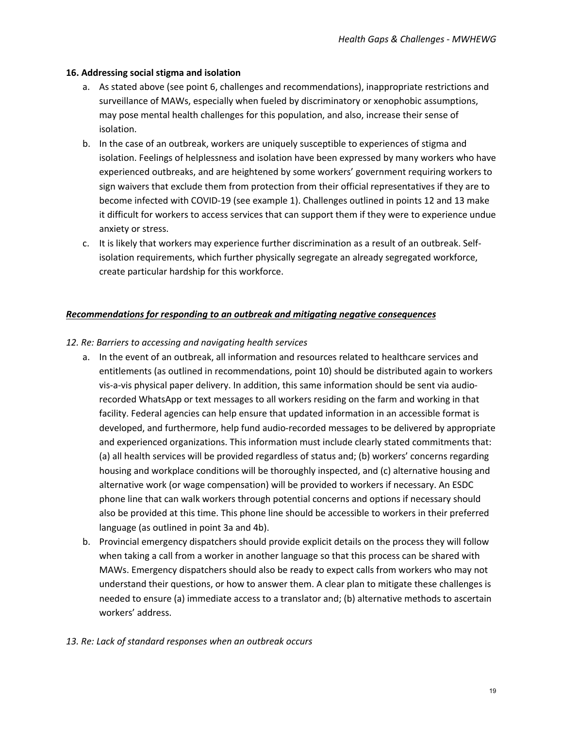#### **16. Addressing social stigma and isolation**

- a. As stated above (see point 6, challenges and recommendations), inappropriate restrictions and surveillance of MAWs, especially when fueled by discriminatory or xenophobic assumptions, may pose mental health challenges for this population, and also, increase their sense of isolation.
- b. In the case of an outbreak, workers are uniquely susceptible to experiences of stigma and isolation. Feelings of helplessness and isolation have been expressed by many workers who have experienced outbreaks, and are heightened by some workers' government requiring workers to sign waivers that exclude them from protection from their official representatives if they are to become infected with COVID-19 (see example 1). Challenges outlined in points 12 and 13 make it difficult for workers to access services that can support them if they were to experience undue anxiety or stress.
- c. It is likely that workers may experience further discrimination as a result of an outbreak. Selfisolation requirements, which further physically segregate an already segregated workforce, create particular hardship for this workforce.

#### *Recommendations for responding to an outbreak and mitigating negative consequences*

#### *12. Re: Barriers to accessing and navigating health services*

- a. In the event of an outbreak, all information and resources related to healthcare services and entitlements (as outlined in recommendations, point 10) should be distributed again to workers vis-a-vis physical paper delivery. In addition, this same information should be sent via audiorecorded WhatsApp or text messages to all workers residing on the farm and working in that facility. Federal agencies can help ensure that updated information in an accessible format is developed, and furthermore, help fund audio-recorded messages to be delivered by appropriate and experienced organizations. This information must include clearly stated commitments that: (a) all health services will be provided regardless of status and; (b) workers' concerns regarding housing and workplace conditions will be thoroughly inspected, and (c) alternative housing and alternative work (or wage compensation) will be provided to workers if necessary. An ESDC phone line that can walk workers through potential concerns and options if necessary should also be provided at this time. This phone line should be accessible to workers in their preferred language (as outlined in point 3a and 4b).
- b. Provincial emergency dispatchers should provide explicit details on the process they will follow when taking a call from a worker in another language so that this process can be shared with MAWs. Emergency dispatchers should also be ready to expect calls from workers who may not understand their questions, or how to answer them. A clear plan to mitigate these challenges is needed to ensure (a) immediate access to a translator and; (b) alternative methods to ascertain workers' address.

#### *13. Re: Lack of standard responses when an outbreak occurs*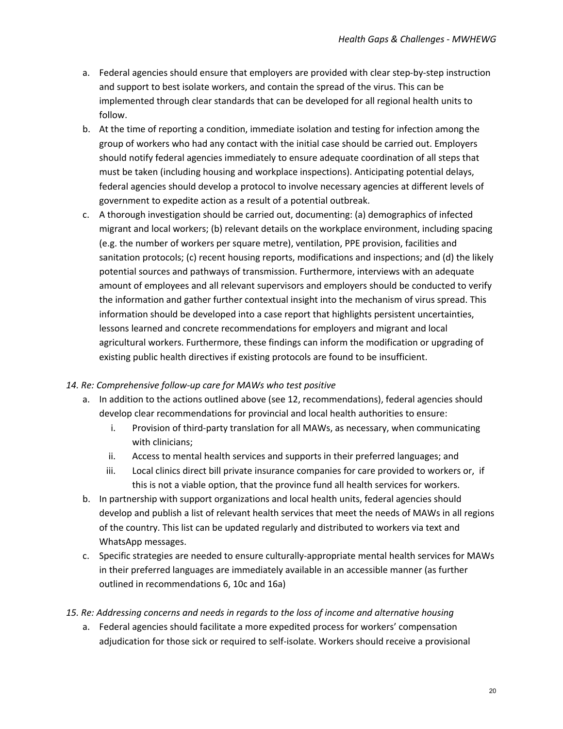- a. Federal agencies should ensure that employers are provided with clear step-by-step instruction and support to best isolate workers, and contain the spread of the virus. This can be implemented through clear standards that can be developed for all regional health units to follow.
- b. At the time of reporting a condition, immediate isolation and testing for infection among the group of workers who had any contact with the initial case should be carried out. Employers should notify federal agencies immediately to ensure adequate coordination of all steps that must be taken (including housing and workplace inspections). Anticipating potential delays, federal agencies should develop a protocol to involve necessary agencies at different levels of government to expedite action as a result of a potential outbreak.
- c. A thorough investigation should be carried out, documenting: (a) demographics of infected migrant and local workers; (b) relevant details on the workplace environment, including spacing (e.g. the number of workers per square metre), ventilation, PPE provision, facilities and sanitation protocols; (c) recent housing reports, modifications and inspections; and (d) the likely potential sources and pathways of transmission. Furthermore, interviews with an adequate amount of employees and all relevant supervisors and employers should be conducted to verify the information and gather further contextual insight into the mechanism of virus spread. This information should be developed into a case report that highlights persistent uncertainties, lessons learned and concrete recommendations for employers and migrant and local agricultural workers. Furthermore, these findings can inform the modification or upgrading of existing public health directives if existing protocols are found to be insufficient.

## *14. Re: Comprehensive follow-up care for MAWs who test positive*

- a. In addition to the actions outlined above (see 12, recommendations), federal agencies should develop clear recommendations for provincial and local health authorities to ensure:
	- i. Provision of third-party translation for all MAWs, as necessary, when communicating with clinicians;
	- ii. Access to mental health services and supports in their preferred languages; and
	- iii. Local clinics direct bill private insurance companies for care provided to workers or, if this is not a viable option, that the province fund all health services for workers.
- b. In partnership with support organizations and local health units, federal agencies should develop and publish a list of relevant health services that meet the needs of MAWs in all regions of the country. This list can be updated regularly and distributed to workers via text and WhatsApp messages.
- c. Specific strategies are needed to ensure culturally-appropriate mental health services for MAWs in their preferred languages are immediately available in an accessible manner (as further outlined in recommendations 6, 10c and 16a)
- *15. Re: Addressing concerns and needs in regards to the loss of income and alternative housing*
	- a. Federal agencies should facilitate a more expedited process for workers' compensation adjudication for those sick or required to self-isolate. Workers should receive a provisional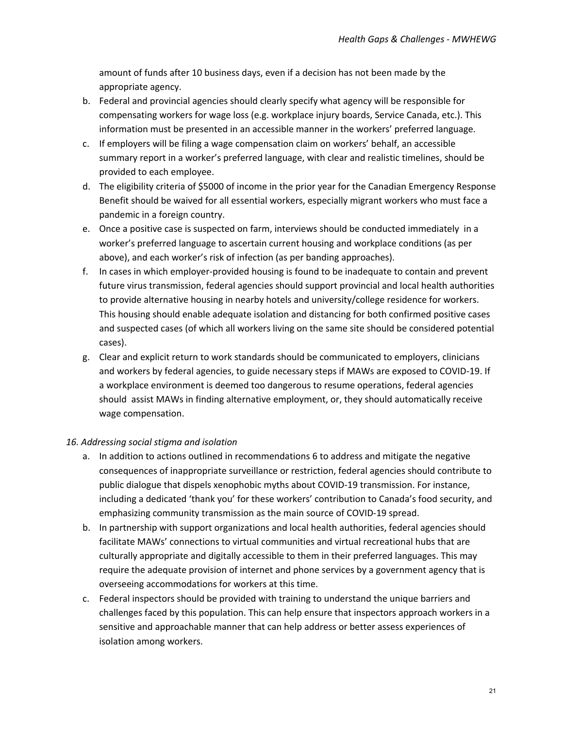amount of funds after 10 business days, even if a decision has not been made by the appropriate agency.

- b. Federal and provincial agencies should clearly specify what agency will be responsible for compensating workers for wage loss (e.g. workplace injury boards, Service Canada, etc.). This information must be presented in an accessible manner in the workers' preferred language.
- c. If employers will be filing a wage compensation claim on workers' behalf, an accessible summary report in a worker's preferred language, with clear and realistic timelines, should be provided to each employee.
- d. The eligibility criteria of \$5000 of income in the prior year for the Canadian Emergency Response Benefit should be waived for all essential workers, especially migrant workers who must face a pandemic in a foreign country.
- e. Once a positive case is suspected on farm, interviews should be conducted immediately in a worker's preferred language to ascertain current housing and workplace conditions (as per above), and each worker's risk of infection (as per banding approaches).
- f. In cases in which employer-provided housing is found to be inadequate to contain and prevent future virus transmission, federal agencies should support provincial and local health authorities to provide alternative housing in nearby hotels and university/college residence for workers. This housing should enable adequate isolation and distancing for both confirmed positive cases and suspected cases (of which all workers living on the same site should be considered potential cases).
- g. Clear and explicit return to work standards should be communicated to employers, clinicians and workers by federal agencies, to guide necessary steps if MAWs are exposed to COVID-19. If a workplace environment is deemed too dangerous to resume operations, federal agencies should assist MAWs in finding alternative employment, or, they should automatically receive wage compensation.

## *16. Addressing social stigma and isolation*

- a. In addition to actions outlined in recommendations 6 to address and mitigate the negative consequences of inappropriate surveillance or restriction, federal agencies should contribute to public dialogue that dispels xenophobic myths about COVID-19 transmission. For instance, including a dedicated 'thank you' for these workers' contribution to Canada's food security, and emphasizing community transmission as the main source of COVID-19 spread.
- b. In partnership with support organizations and local health authorities, federal agencies should facilitate MAWs' connections to virtual communities and virtual recreational hubs that are culturally appropriate and digitally accessible to them in their preferred languages. This may require the adequate provision of internet and phone services by a government agency that is overseeing accommodations for workers at this time.
- c. Federal inspectors should be provided with training to understand the unique barriers and challenges faced by this population. This can help ensure that inspectors approach workers in a sensitive and approachable manner that can help address or better assess experiences of isolation among workers.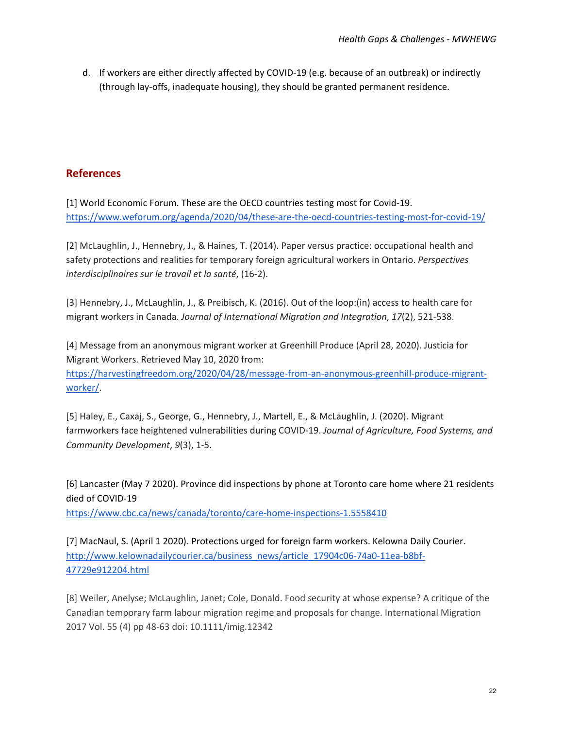<span id="page-22-0"></span>d. If workers are either directly affected by COVID-19 (e.g. because of an outbreak) or indirectly (through lay-offs, inadequate housing), they should be granted permanent residence.

## **References**

[1] World Economic Forum. These are the OECD countries testing most for Covid-19. https://www.weforum.org/agenda/2020/04/these-are-the-oecd-countries-testing-most-for-covid-19/

[2] McLaughlin, J., Hennebry, J., & Haines, T. (2014). Paper versus practice: occupational health and safety protections and realities for temporary foreign agricultural workers in Ontario. *Perspectives interdisciplinaires sur le travail et la santé*, (16-2).

[3] Hennebry, J., McLaughlin, J., & Preibisch, K. (2016). Out of the loop:(in) access to health care for migrant workers in Canada. *Journal of International Migration and Integration*, *17*(2), 521-538.

[4] Message from an anonymous migrant worker at Greenhill Produce (April 28, 2020). Justicia for Migrant Workers. Retrieved May 10, 2020 from: https://harvestingfreedom.org/2020/04/28/message-from-an-anonymous-greenhill-produce-migrantworker/.

[5] Haley, E., Caxaj, S., George, G., Hennebry, J., Martell, E., & McLaughlin, J. (2020). Migrant farmworkers face heightened vulnerabilities during COVID-19. *Journal of Agriculture, Food Systems, and Community Development*, *9*(3), 1-5.

[6] Lancaster (May 7 2020). Province did inspections by phone at Toronto care home where 21 residents died of COVID-19 https://www.cbc.ca/news/canada/toronto/care-home-inspections-1.5558410

[7] MacNaul, S. (April 1 2020). Protections urged for foreign farm workers. Kelowna Daily Courier. http://www.kelownadailycourier.ca/business\_news/article\_17904c06-74a0-11ea-b8bf-47729e912204.html

[8] Weiler, Anelyse; McLaughlin, Janet; Cole, Donald. Food security at whose expense? A critique of the Canadian temporary farm labour migration regime and proposals for change. International Migration 2017 Vol. 55 (4) pp 48-63 doi: 10.1111/imig.12342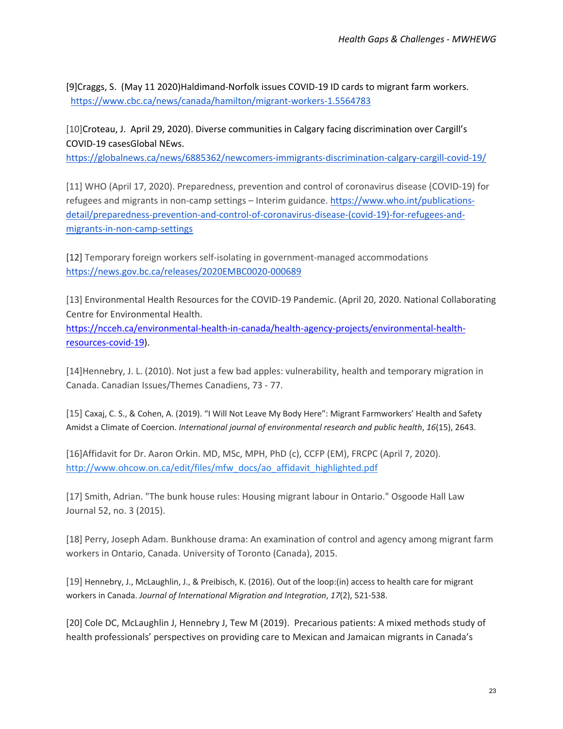[9]Craggs, S. (May 11 2020)Haldimand-Norfolk issues COVID-19 ID cards to migrant farm workers. https://www.cbc.ca/news/canada/hamilton/migrant-workers-1.5564783

[10]Croteau, J. April 29, 2020). Diverse communities in Calgary facing discrimination over Cargill's COVID-19 casesGlobal NEws.

https://globalnews.ca/news/6885362/newcomers-immigrants-discrimination-calgary-cargill-covid-19/

[11] WHO (April 17, 2020). Preparedness, prevention and control of coronavirus disease (COVID-19) for refugees and migrants in non-camp settings – Interim guidance. https://www.who.int/publicationsdetail/preparedness-prevention-and-control-of-coronavirus-disease-(covid-19)-for-refugees-andmigrants-in-non-camp-settings

[12] Temporary foreign workers self-isolating in government-managed accommodations https://news.gov.bc.ca/releases/2020EMBC0020-000689

[13] Environmental Health Resources for the COVID-19 Pandemic. (April 20, 2020. National Collaborating Centre for Environmental Health.

https://ncceh.ca/environmental-health-in-canada/health-agency-projects/environmental-healthresources-covid-19).

[14]Hennebry, J. L. (2010). Not just a few bad apples: vulnerability, health and temporary migration in Canada. Canadian Issues/Themes Canadiens, 73 - 77.

[15] Caxaj, C. S., & Cohen, A. (2019). "I Will Not Leave My Body Here": Migrant Farmworkers' Health and Safety Amidst a Climate of Coercion. *International journal of environmental research and public health*, *16*(15), 2643.

[16]Affidavit for Dr. Aaron Orkin. MD, MSc, MPH, PhD (c), CCFP (EM), FRCPC (April 7, 2020). http://www.ohcow.on.ca/edit/files/mfw\_docs/ao\_affidavit\_highlighted.pdf

[17] Smith, Adrian. "The bunk house rules: Housing migrant labour in Ontario." Osgoode Hall Law Journal 52, no. 3 (2015).

[18] Perry, Joseph Adam. Bunkhouse drama: An examination of control and agency among migrant farm workers in Ontario, Canada. University of Toronto (Canada), 2015.

[19] Hennebry, J., McLaughlin, J., & Preibisch, K. (2016). Out of the loop:(in) access to health care for migrant workers in Canada. *Journal of International Migration and Integration*, *17*(2), 521-538.

[20] Cole DC, McLaughlin J, Hennebry J, Tew M (2019). Precarious patients: A mixed methods study of health professionals' perspectives on providing care to Mexican and Jamaican migrants in Canada's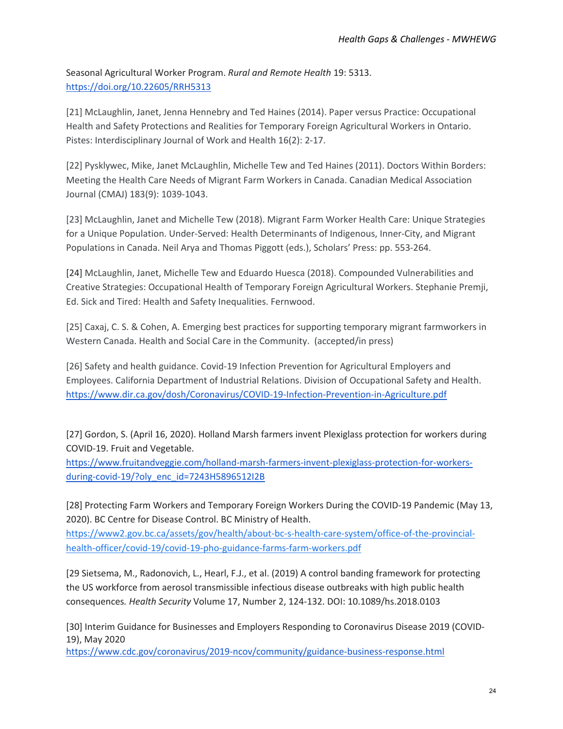Seasonal Agricultural Worker Program. *Rural and Remote Health* 19: 5313. https://doi.org/10.22605/RRH5313

[21] McLaughlin, Janet, Jenna Hennebry and Ted Haines (2014). Paper versus Practice: Occupational Health and Safety Protections and Realities for Temporary Foreign Agricultural Workers in Ontario. Pistes: Interdisciplinary Journal of Work and Health 16(2): 2-17.

[22] Pysklywec, Mike, Janet McLaughlin, Michelle Tew and Ted Haines (2011). Doctors Within Borders: Meeting the Health Care Needs of Migrant Farm Workers in Canada. Canadian Medical Association Journal (CMAJ) 183(9): 1039-1043.

[23] McLaughlin, Janet and Michelle Tew (2018). Migrant Farm Worker Health Care: Unique Strategies for a Unique Population. Under-Served: Health Determinants of Indigenous, Inner-City, and Migrant Populations in Canada. Neil Arya and Thomas Piggott (eds.), Scholars' Press: pp. 553-264.

[24] McLaughlin, Janet, Michelle Tew and Eduardo Huesca (2018). Compounded Vulnerabilities and Creative Strategies: Occupational Health of Temporary Foreign Agricultural Workers. Stephanie Premji, Ed. Sick and Tired: Health and Safety Inequalities. Fernwood.

[25] Caxaj, C. S. & Cohen, A. Emerging best practices for supporting temporary migrant farmworkers in Western Canada. Health and Social Care in the Community. (accepted/in press)

[26] Safety and health guidance. Covid-19 Infection Prevention for Agricultural Employers and Employees. California Department of Industrial Relations. Division of Occupational Safety and Health. https://www.dir.ca.gov/dosh/Coronavirus/COVID-19-Infection-Prevention-in-Agriculture.pdf

[27] Gordon, S. (April 16, 2020). Holland Marsh farmers invent Plexiglass protection for workers during COVID-19. Fruit and Vegetable.

https://www.fruitandveggie.com/holland-marsh-farmers-invent-plexiglass-protection-for-workersduring-covid-19/?oly\_enc\_id=7243H5896512I2B

[28] Protecting Farm Workers and Temporary Foreign Workers During the COVID-19 Pandemic (May 13, 2020). BC Centre for Disease Control. BC Ministry of Health. https://www2.gov.bc.ca/assets/gov/health/about-bc-s-health-care-system/office-of-the-provincial-

health-officer/covid-19/covid-19-pho-guidance-farms-farm-workers.pdf

[29 Sietsema, M., Radonovich, L., Hearl, F.J., et al. (2019) A control banding framework for protecting the US workforce from aerosol transmissible infectious disease outbreaks with high public health consequences*. Health Security* Volume 17, Number 2, 124-132. DOI: 10.1089/hs.2018.0103

[30] Interim Guidance for Businesses and Employers Responding to Coronavirus Disease 2019 (COVID-19), May 2020

https://www.cdc.gov/coronavirus/2019-ncov/community/guidance-business-response.html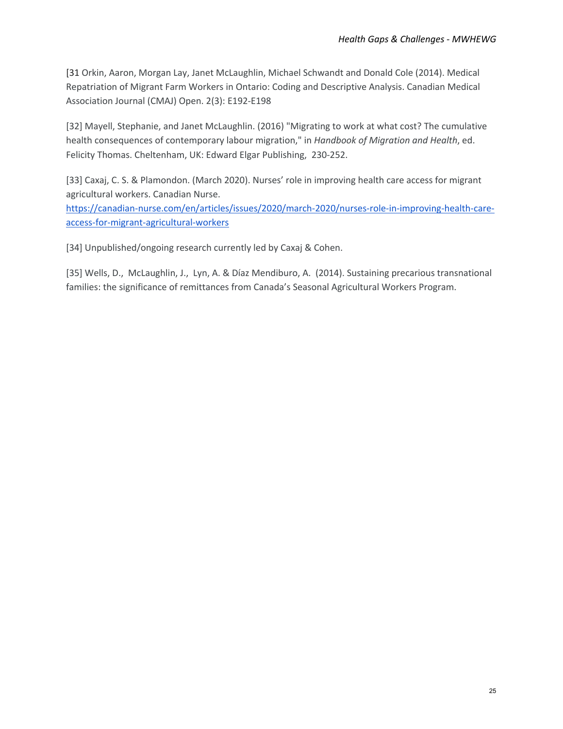[31 Orkin, Aaron, Morgan Lay, Janet McLaughlin, Michael Schwandt and Donald Cole (2014). Medical Repatriation of Migrant Farm Workers in Ontario: Coding and Descriptive Analysis. Canadian Medical Association Journal (CMAJ) Open. 2(3): E192-E198

[32] Mayell, Stephanie, and Janet McLaughlin. (2016) "Migrating to work at what cost? The cumulative health consequences of contemporary labour migration," in *Handbook of Migration and Health*, ed. Felicity Thomas. Cheltenham, UK: Edward Elgar Publishing, 230-252.

[33] Caxaj, C. S. & Plamondon. (March 2020). Nurses' role in improving health care access for migrant agricultural workers. Canadian Nurse.

https://canadian-nurse.com/en/articles/issues/2020/march-2020/nurses-role-in-improving-health-careaccess-for-migrant-agricultural-workers

[34] Unpublished/ongoing research currently led by Caxaj & Cohen.

[35] Wells, D., McLaughlin, J., Lyn, A. & Díaz Mendiburo, A. (2014). Sustaining precarious transnational families: the significance of remittances from Canada's Seasonal Agricultural Workers Program.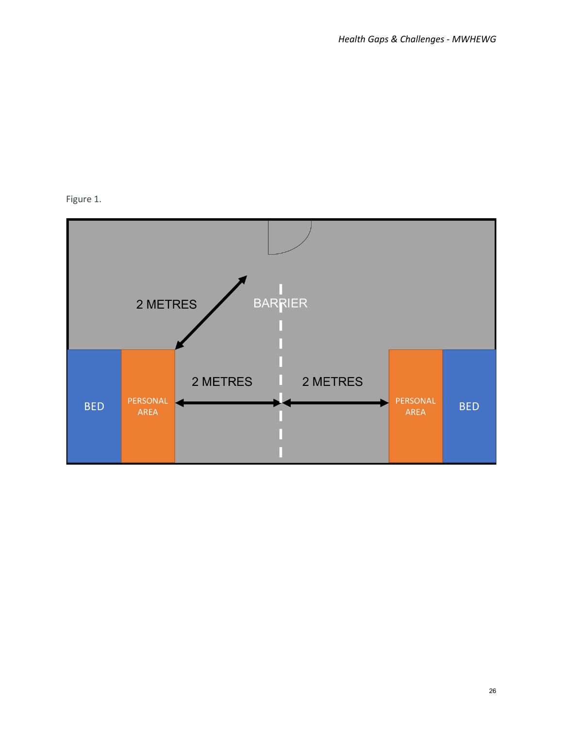# <span id="page-26-0"></span>Figure 1.

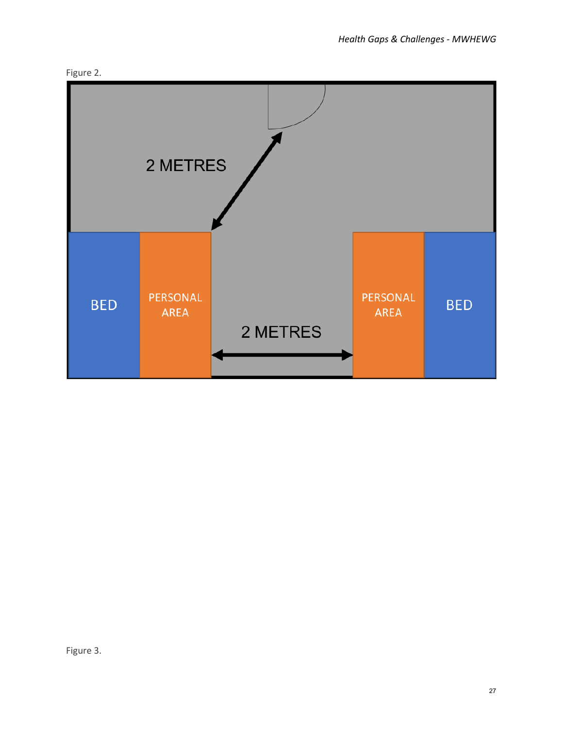

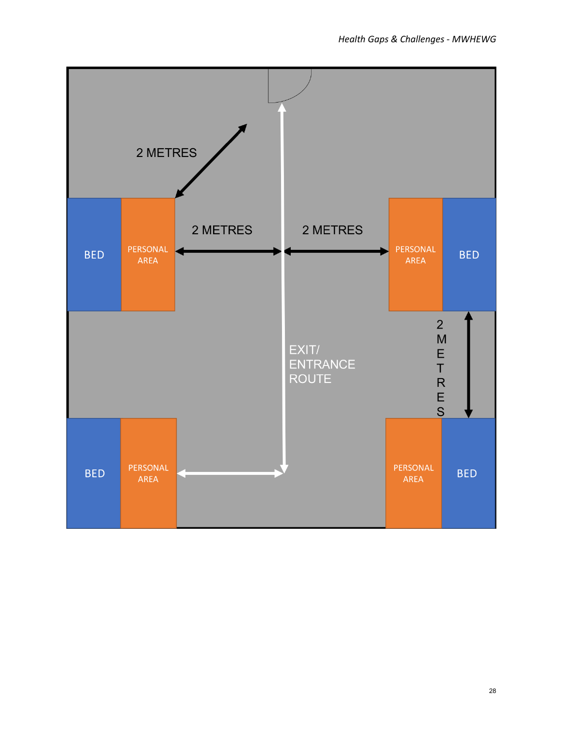